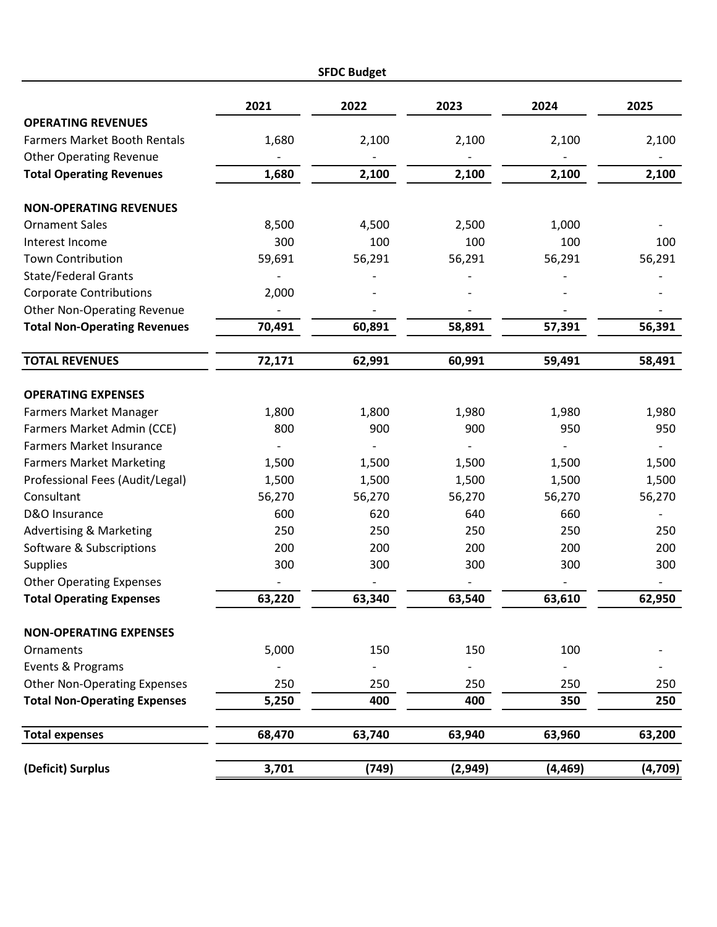|                                                               |                | <b>SFDC Budget</b> |         |                 |                          |
|---------------------------------------------------------------|----------------|--------------------|---------|-----------------|--------------------------|
|                                                               | 2021           | 2022               | 2023    | 2024            | 2025                     |
| <b>OPERATING REVENUES</b>                                     |                |                    |         |                 |                          |
| <b>Farmers Market Booth Rentals</b>                           | 1,680          | 2,100              | 2,100   | 2,100           | 2,100                    |
| <b>Other Operating Revenue</b>                                |                |                    |         |                 |                          |
| <b>Total Operating Revenues</b>                               | 1,680          | 2,100              | 2,100   | 2,100           | 2,100                    |
| <b>NON-OPERATING REVENUES</b>                                 |                |                    |         |                 |                          |
| <b>Ornament Sales</b>                                         | 8,500          | 4,500              | 2,500   | 1,000           |                          |
| Interest Income                                               | 300            | 100                | 100     | 100             | 100                      |
| <b>Town Contribution</b>                                      | 59,691         | 56,291             | 56,291  | 56,291          | 56,291                   |
| <b>State/Federal Grants</b>                                   |                |                    |         |                 |                          |
| <b>Corporate Contributions</b>                                | 2,000          |                    |         |                 |                          |
| <b>Other Non-Operating Revenue</b>                            |                |                    |         |                 |                          |
| <b>Total Non-Operating Revenues</b>                           | 70,491         | 60,891             | 58,891  | 57,391          | 56,391                   |
| <b>TOTAL REVENUES</b>                                         | 72,171         | 62,991             | 60,991  | 59,491          | 58,491                   |
| <b>OPERATING EXPENSES</b>                                     |                |                    |         |                 |                          |
|                                                               | 1,800          | 1,800              | 1,980   | 1,980           |                          |
| <b>Farmers Market Manager</b>                                 | 800            | 900                | 900     | 950             | 1,980<br>950             |
| Farmers Market Admin (CCE)<br><b>Farmers Market Insurance</b> |                |                    |         |                 |                          |
| <b>Farmers Market Marketing</b>                               |                | 1,500              | 1,500   |                 |                          |
| Professional Fees (Audit/Legal)                               | 1,500<br>1,500 | 1,500              | 1,500   | 1,500           | 1,500                    |
| Consultant                                                    | 56,270         | 56,270             | 56,270  | 1,500<br>56,270 | 1,500<br>56,270          |
| D&O Insurance                                                 | 600            | 620                | 640     | 660             |                          |
| <b>Advertising &amp; Marketing</b>                            | 250            | 250                | 250     | 250             | 250                      |
| Software & Subscriptions                                      | 200            | 200                | 200     | 200             | 200                      |
| <b>Supplies</b>                                               | 300            | 300                | 300     | 300             | 300                      |
| <b>Other Operating Expenses</b>                               |                |                    |         |                 | $\overline{\phantom{a}}$ |
| <b>Total Operating Expenses</b>                               | 63,220         | 63,340             | 63,540  | 63,610          | 62,950                   |
| <b>NON-OPERATING EXPENSES</b>                                 |                |                    |         |                 |                          |
| Ornaments                                                     | 5,000          | 150                | 150     | 100             |                          |
| Events & Programs                                             |                |                    |         |                 |                          |
| <b>Other Non-Operating Expenses</b>                           | 250            | 250                | 250     | 250             | 250                      |
| <b>Total Non-Operating Expenses</b>                           | 5,250          | 400                | 400     | 350             | 250                      |
| <b>Total expenses</b>                                         | 68,470         | 63,740             | 63,940  | 63,960          | 63,200                   |
| (Deficit) Surplus                                             | 3,701          | (749)              | (2,949) | (4, 469)        | (4,709)                  |
|                                                               |                |                    |         |                 |                          |